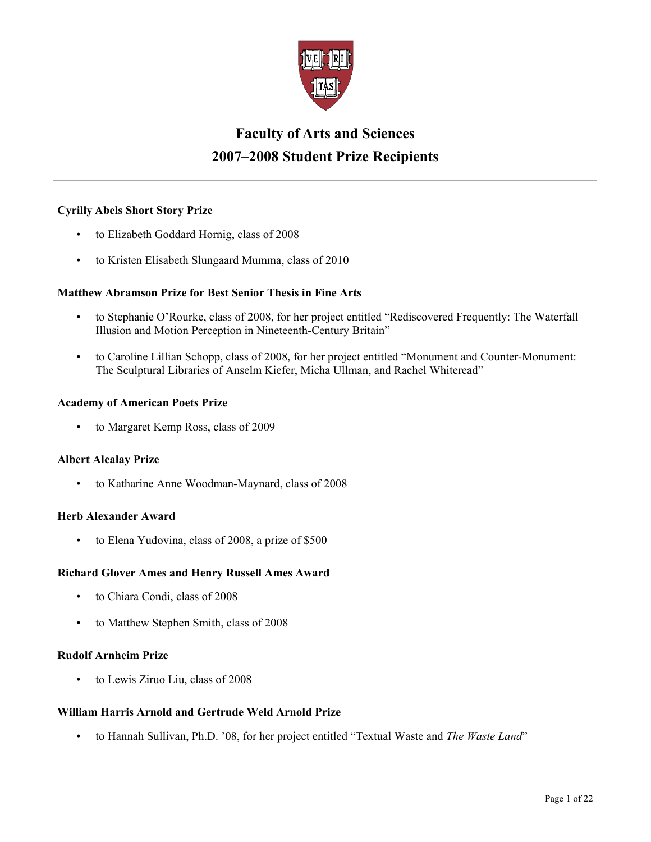

# **Faculty of Arts and Sciences 2007–2008 Student Prize Recipients**

# **Cyrilly Abels Short Story Prize**

- to Elizabeth Goddard Hornig, class of 2008
- to Kristen Elisabeth Slungaard Mumma, class of 2010

## **Matthew Abramson Prize for Best Senior Thesis in Fine Arts**

- to Stephanie O'Rourke, class of 2008, for her project entitled "Rediscovered Frequently: The Waterfall Illusion and Motion Perception in Nineteenth-Century Britain"
- to Caroline Lillian Schopp, class of 2008, for her project entitled "Monument and Counter-Monument: The Sculptural Libraries of Anselm Kiefer, Micha Ullman, and Rachel Whiteread"

## **Academy of American Poets Prize**

• to Margaret Kemp Ross, class of 2009

## **Albert Alcalay Prize**

• to Katharine Anne Woodman-Maynard, class of 2008

## **Herb Alexander Award**

• to Elena Yudovina, class of 2008, a prize of \$500

## **Richard Glover Ames and Henry Russell Ames Award**

- to Chiara Condi, class of 2008
- to Matthew Stephen Smith, class of 2008

# **Rudolf Arnheim Prize**

to Lewis Ziruo Liu, class of 2008

## **William Harris Arnold and Gertrude Weld Arnold Prize**

• to Hannah Sullivan, Ph.D. '08, for her project entitled "Textual Waste and *The Waste Land*"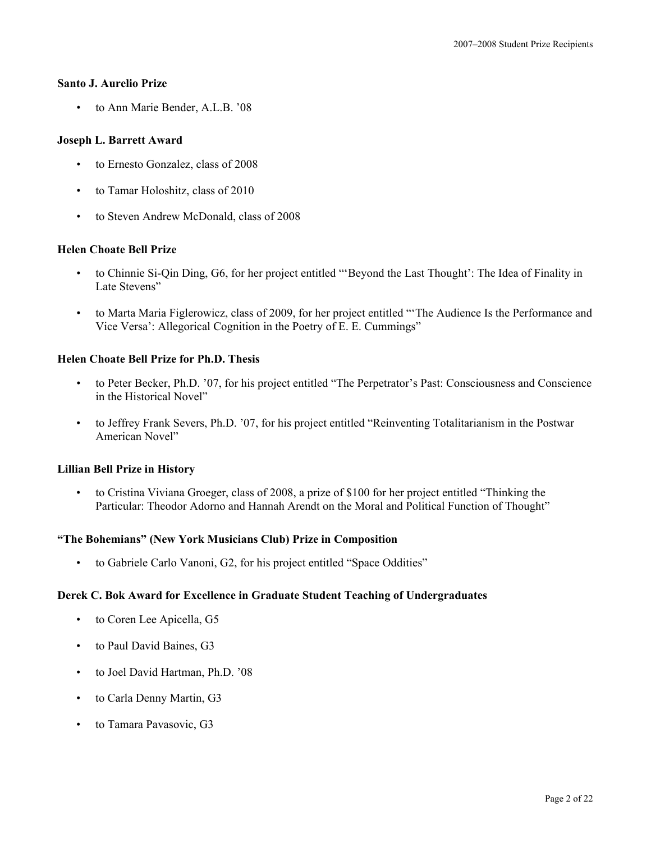## **Santo J. Aurelio Prize**

• to Ann Marie Bender, A.L.B. '08

#### **Joseph L. Barrett Award**

- to Ernesto Gonzalez, class of 2008
- to Tamar Holoshitz, class of 2010
- to Steven Andrew McDonald, class of 2008

#### **Helen Choate Bell Prize**

- to Chinnie Si-Qin Ding, G6, for her project entitled "'Beyond the Last Thought': The Idea of Finality in Late Stevens"
- to Marta Maria Figlerowicz, class of 2009, for her project entitled "'The Audience Is the Performance and Vice Versa': Allegorical Cognition in the Poetry of E. E. Cummings"

## **Helen Choate Bell Prize for Ph.D. Thesis**

- to Peter Becker, Ph.D. '07, for his project entitled "The Perpetrator's Past: Consciousness and Conscience in the Historical Novel"
- to Jeffrey Frank Severs, Ph.D. '07, for his project entitled "Reinventing Totalitarianism in the Postwar American Novel"

#### **Lillian Bell Prize in History**

• to Cristina Viviana Groeger, class of 2008, a prize of \$100 for her project entitled "Thinking the Particular: Theodor Adorno and Hannah Arendt on the Moral and Political Function of Thought"

#### **"The Bohemians" (New York Musicians Club) Prize in Composition**

• to Gabriele Carlo Vanoni, G2, for his project entitled "Space Oddities"

## **Derek C. Bok Award for Excellence in Graduate Student Teaching of Undergraduates**

- to Coren Lee Apicella, G5
- to Paul David Baines, G3
- to Joel David Hartman, Ph.D. '08
- to Carla Denny Martin, G3
- to Tamara Pavasovic, G3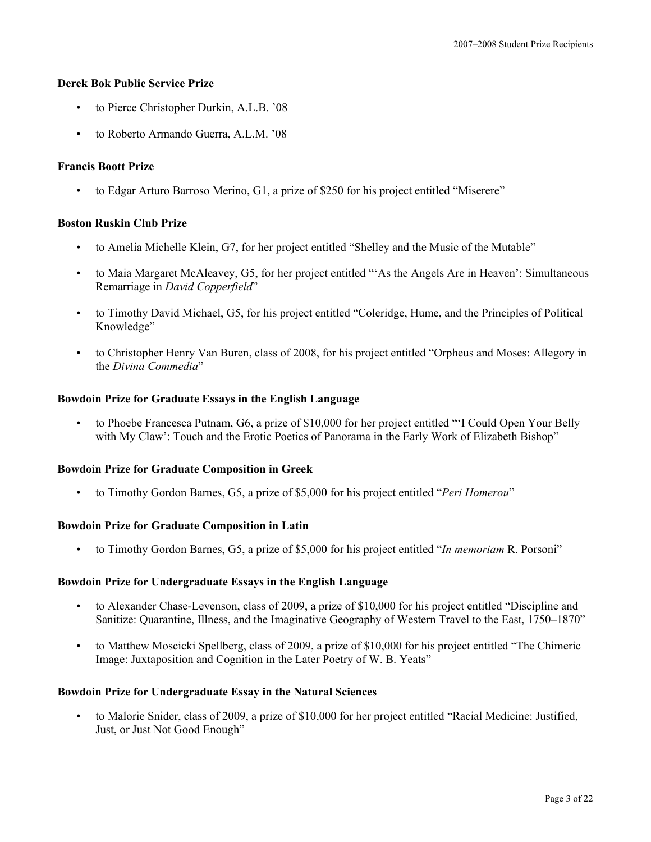## **Derek Bok Public Service Prize**

- to Pierce Christopher Durkin, A.L.B. '08
- to Roberto Armando Guerra, A.L.M. '08

# **Francis Boott Prize**

• to Edgar Arturo Barroso Merino, G1, a prize of \$250 for his project entitled "Miserere"

## **Boston Ruskin Club Prize**

- to Amelia Michelle Klein, G7, for her project entitled "Shelley and the Music of the Mutable"
- to Maia Margaret McAleavey, G5, for her project entitled "'As the Angels Are in Heaven': Simultaneous Remarriage in *David Copperfield*"
- to Timothy David Michael, G5, for his project entitled "Coleridge, Hume, and the Principles of Political Knowledge"
- to Christopher Henry Van Buren, class of 2008, for his project entitled "Orpheus and Moses: Allegory in the *Divina Commedia*"

## **Bowdoin Prize for Graduate Essays in the English Language**

• to Phoebe Francesca Putnam, G6, a prize of \$10,000 for her project entitled "'I Could Open Your Belly with My Claw': Touch and the Erotic Poetics of Panorama in the Early Work of Elizabeth Bishop"

## **Bowdoin Prize for Graduate Composition in Greek**

• to Timothy Gordon Barnes, G5, a prize of \$5,000 for his project entitled "*Peri Homerou*"

# **Bowdoin Prize for Graduate Composition in Latin**

• to Timothy Gordon Barnes, G5, a prize of \$5,000 for his project entitled "*In memoriam* R. Porsoni"

## **Bowdoin Prize for Undergraduate Essays in the English Language**

- to Alexander Chase-Levenson, class of 2009, a prize of \$10,000 for his project entitled "Discipline and Sanitize: Quarantine, Illness, and the Imaginative Geography of Western Travel to the East, 1750–1870"
- to Matthew Moscicki Spellberg, class of 2009, a prize of \$10,000 for his project entitled "The Chimeric Image: Juxtaposition and Cognition in the Later Poetry of W. B. Yeats"

## **Bowdoin Prize for Undergraduate Essay in the Natural Sciences**

• to Malorie Snider, class of 2009, a prize of \$10,000 for her project entitled "Racial Medicine: Justified, Just, or Just Not Good Enough"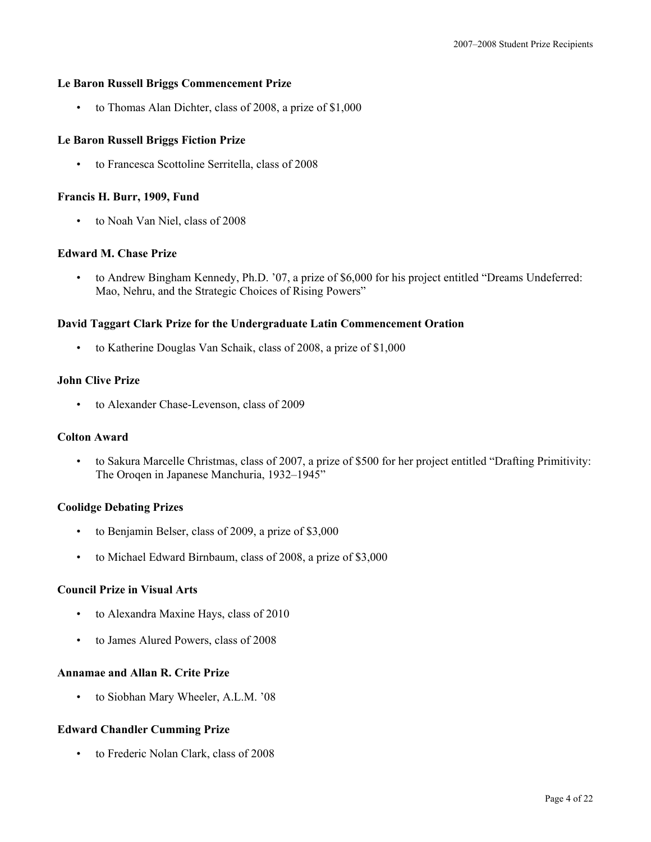## **Le Baron Russell Briggs Commencement Prize**

• to Thomas Alan Dichter, class of 2008, a prize of \$1,000

## **Le Baron Russell Briggs Fiction Prize**

• to Francesca Scottoline Serritella, class of 2008

## **Francis H. Burr, 1909, Fund**

• to Noah Van Niel, class of 2008

## **Edward M. Chase Prize**

• to Andrew Bingham Kennedy, Ph.D. '07, a prize of \$6,000 for his project entitled "Dreams Undeferred: Mao, Nehru, and the Strategic Choices of Rising Powers"

## **David Taggart Clark Prize for the Undergraduate Latin Commencement Oration**

• to Katherine Douglas Van Schaik, class of 2008, a prize of \$1,000

## **John Clive Prize**

• to Alexander Chase-Levenson, class of 2009

## **Colton Award**

• to Sakura Marcelle Christmas, class of 2007, a prize of \$500 for her project entitled "Drafting Primitivity: The Oroqen in Japanese Manchuria, 1932–1945"

## **Coolidge Debating Prizes**

- to Benjamin Belser, class of 2009, a prize of \$3,000
- to Michael Edward Birnbaum, class of 2008, a prize of \$3,000

## **Council Prize in Visual Arts**

- to Alexandra Maxine Hays, class of 2010
- to James Alured Powers, class of 2008

#### **Annamae and Allan R. Crite Prize**

• to Siobhan Mary Wheeler, A.L.M. '08

## **Edward Chandler Cumming Prize**

• to Frederic Nolan Clark, class of 2008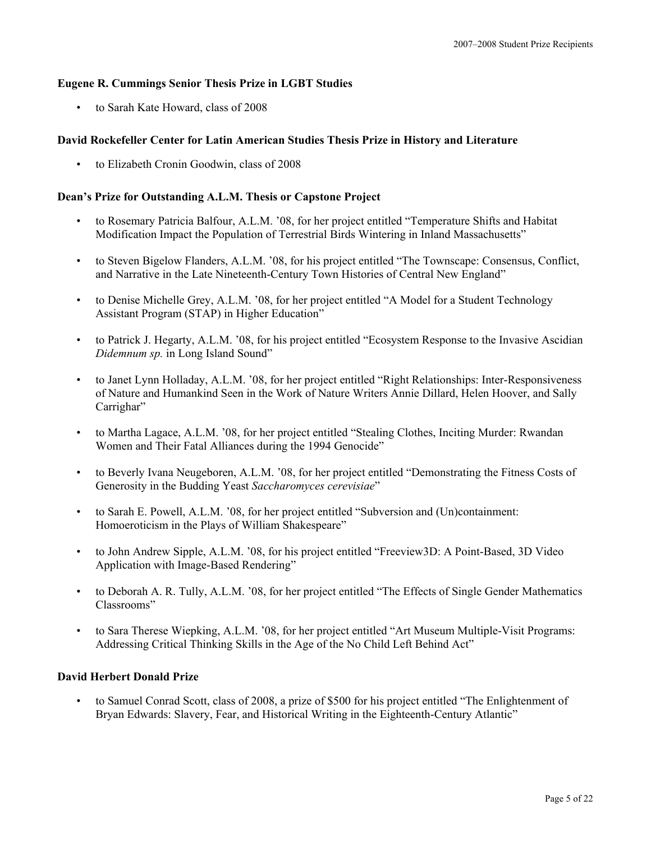# **Eugene R. Cummings Senior Thesis Prize in LGBT Studies**

• to Sarah Kate Howard, class of 2008

# **David Rockefeller Center for Latin American Studies Thesis Prize in History and Literature**

• to Elizabeth Cronin Goodwin, class of 2008

## **Dean's Prize for Outstanding A.L.M. Thesis or Capstone Project**

- to Rosemary Patricia Balfour, A.L.M. '08, for her project entitled "Temperature Shifts and Habitat Modification Impact the Population of Terrestrial Birds Wintering in Inland Massachusetts"
- to Steven Bigelow Flanders, A.L.M. '08, for his project entitled "The Townscape: Consensus, Conflict, and Narrative in the Late Nineteenth-Century Town Histories of Central New England"
- to Denise Michelle Grey, A.L.M. '08, for her project entitled "A Model for a Student Technology Assistant Program (STAP) in Higher Education"
- to Patrick J. Hegarty, A.L.M. '08, for his project entitled "Ecosystem Response to the Invasive Ascidian *Didemnum sp.* in Long Island Sound"
- to Janet Lynn Holladay, A.L.M. '08, for her project entitled "Right Relationships: Inter-Responsiveness of Nature and Humankind Seen in the Work of Nature Writers Annie Dillard, Helen Hoover, and Sally Carrighar"
- to Martha Lagace, A.L.M. '08, for her project entitled "Stealing Clothes, Inciting Murder: Rwandan Women and Their Fatal Alliances during the 1994 Genocide"
- to Beverly Ivana Neugeboren, A.L.M. '08, for her project entitled "Demonstrating the Fitness Costs of Generosity in the Budding Yeast *Saccharomyces cerevisiae*"
- to Sarah E. Powell, A.L.M. '08, for her project entitled "Subversion and (Un)containment: Homoeroticism in the Plays of William Shakespeare"
- to John Andrew Sipple, A.L.M. '08, for his project entitled "Freeview3D: A Point-Based, 3D Video Application with Image-Based Rendering"
- to Deborah A. R. Tully, A.L.M. '08, for her project entitled "The Effects of Single Gender Mathematics Classrooms"
- to Sara Therese Wiepking, A.L.M. '08, for her project entitled "Art Museum Multiple-Visit Programs: Addressing Critical Thinking Skills in the Age of the No Child Left Behind Act"

## **David Herbert Donald Prize**

• to Samuel Conrad Scott, class of 2008, a prize of \$500 for his project entitled "The Enlightenment of Bryan Edwards: Slavery, Fear, and Historical Writing in the Eighteenth-Century Atlantic"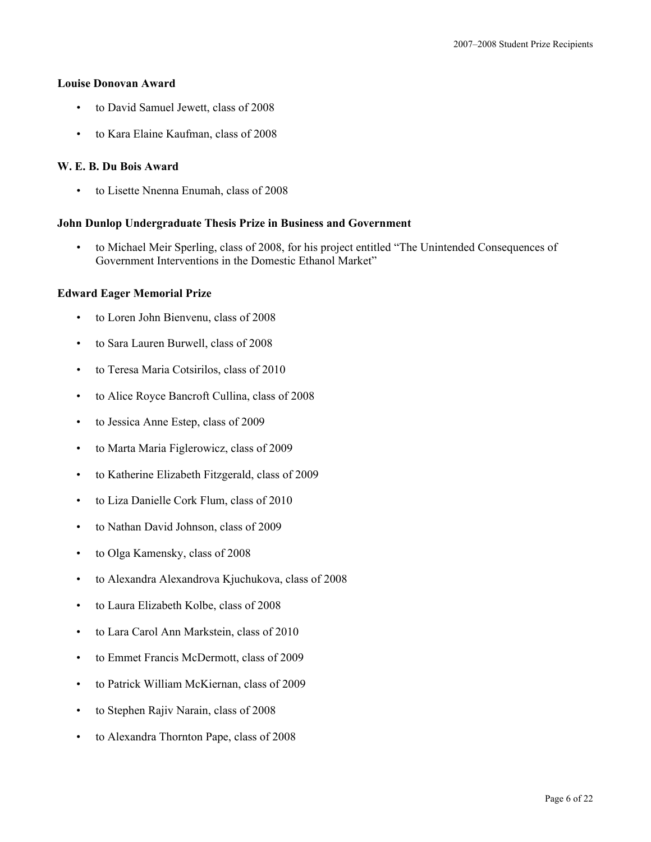#### **Louise Donovan Award**

- to David Samuel Jewett, class of 2008
- to Kara Elaine Kaufman, class of 2008

## **W. E. B. Du Bois Award**

• to Lisette Nnenna Enumah, class of 2008

#### **John Dunlop Undergraduate Thesis Prize in Business and Government**

• to Michael Meir Sperling, class of 2008, for his project entitled "The Unintended Consequences of Government Interventions in the Domestic Ethanol Market"

#### **Edward Eager Memorial Prize**

- to Loren John Bienvenu, class of 2008
- to Sara Lauren Burwell, class of 2008
- to Teresa Maria Cotsirilos, class of 2010
- to Alice Royce Bancroft Cullina, class of 2008
- to Jessica Anne Estep, class of 2009
- to Marta Maria Figlerowicz, class of 2009
- to Katherine Elizabeth Fitzgerald, class of 2009
- to Liza Danielle Cork Flum, class of 2010
- to Nathan David Johnson, class of 2009
- to Olga Kamensky, class of 2008
- to Alexandra Alexandrova Kjuchukova, class of 2008
- to Laura Elizabeth Kolbe, class of 2008
- to Lara Carol Ann Markstein, class of 2010
- to Emmet Francis McDermott, class of 2009
- to Patrick William McKiernan, class of 2009
- to Stephen Rajiv Narain, class of 2008
- to Alexandra Thornton Pape, class of 2008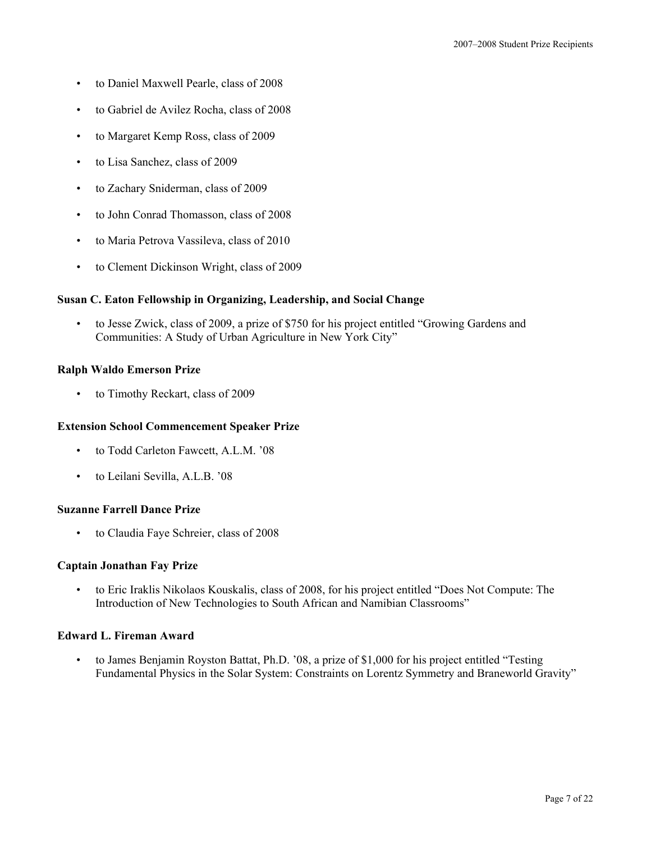- to Daniel Maxwell Pearle, class of 2008
- to Gabriel de Avilez Rocha, class of 2008
- to Margaret Kemp Ross, class of 2009
- to Lisa Sanchez, class of 2009
- to Zachary Sniderman, class of 2009
- to John Conrad Thomasson, class of 2008
- to Maria Petrova Vassileva, class of 2010
- to Clement Dickinson Wright, class of 2009

## **Susan C. Eaton Fellowship in Organizing, Leadership, and Social Change**

• to Jesse Zwick, class of 2009, a prize of \$750 for his project entitled "Growing Gardens and Communities: A Study of Urban Agriculture in New York City"

## **Ralph Waldo Emerson Prize**

• to Timothy Reckart, class of 2009

## **Extension School Commencement Speaker Prize**

- to Todd Carleton Fawcett, A.L.M. '08
- to Leilani Sevilla, A.L.B. '08

## **Suzanne Farrell Dance Prize**

• to Claudia Faye Schreier, class of 2008

## **Captain Jonathan Fay Prize**

• to Eric Iraklis Nikolaos Kouskalis, class of 2008, for his project entitled "Does Not Compute: The Introduction of New Technologies to South African and Namibian Classrooms"

## **Edward L. Fireman Award**

to James Benjamin Royston Battat, Ph.D. '08, a prize of \$1,000 for his project entitled "Testing Fundamental Physics in the Solar System: Constraints on Lorentz Symmetry and Braneworld Gravity"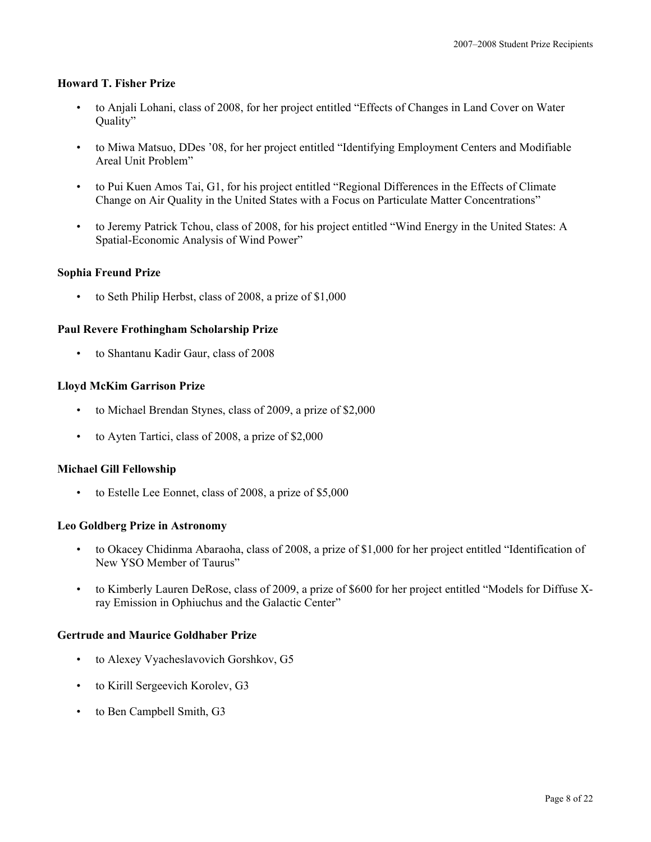## **Howard T. Fisher Prize**

- to Anjali Lohani, class of 2008, for her project entitled "Effects of Changes in Land Cover on Water Quality"
- to Miwa Matsuo, DDes '08, for her project entitled "Identifying Employment Centers and Modifiable Areal Unit Problem"
- to Pui Kuen Amos Tai, G1, for his project entitled "Regional Differences in the Effects of Climate Change on Air Quality in the United States with a Focus on Particulate Matter Concentrations"
- to Jeremy Patrick Tchou, class of 2008, for his project entitled "Wind Energy in the United States: A Spatial-Economic Analysis of Wind Power"

## **Sophia Freund Prize**

• to Seth Philip Herbst, class of 2008, a prize of \$1,000

## **Paul Revere Frothingham Scholarship Prize**

• to Shantanu Kadir Gaur, class of 2008

## **Lloyd McKim Garrison Prize**

- to Michael Brendan Stynes, class of 2009, a prize of \$2,000
- to Ayten Tartici, class of 2008, a prize of \$2,000

#### **Michael Gill Fellowship**

• to Estelle Lee Eonnet, class of 2008, a prize of \$5,000

#### **Leo Goldberg Prize in Astronomy**

- to Okacey Chidinma Abaraoha, class of 2008, a prize of \$1,000 for her project entitled "Identification of New YSO Member of Taurus"
- to Kimberly Lauren DeRose, class of 2009, a prize of \$600 for her project entitled "Models for Diffuse Xray Emission in Ophiuchus and the Galactic Center"

#### **Gertrude and Maurice Goldhaber Prize**

- to Alexey Vyacheslavovich Gorshkov, G5
- to Kirill Sergeevich Korolev, G3
- to Ben Campbell Smith, G3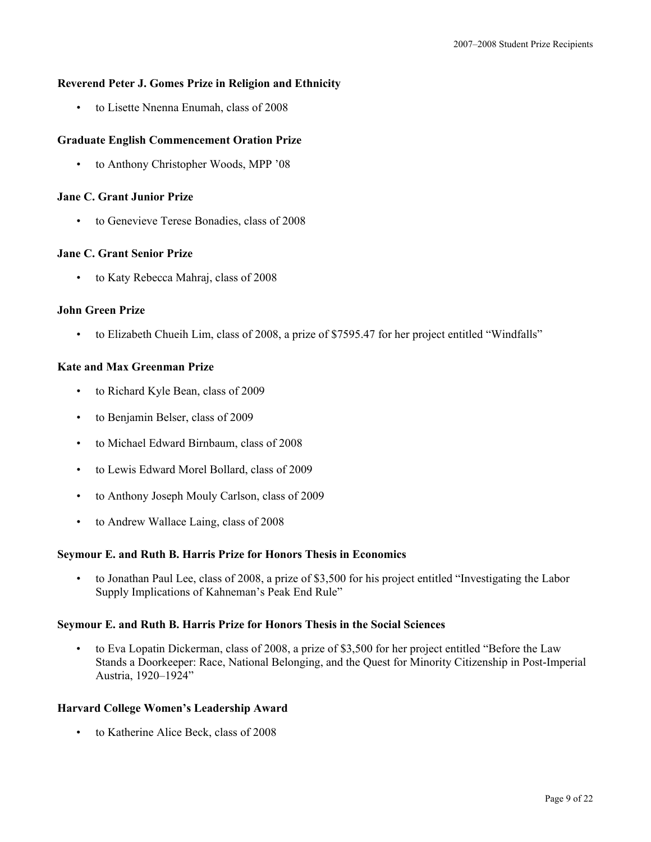# **Reverend Peter J. Gomes Prize in Religion and Ethnicity**

• to Lisette Nnenna Enumah, class of 2008

# **Graduate English Commencement Oration Prize**

• to Anthony Christopher Woods, MPP '08

## **Jane C. Grant Junior Prize**

• to Genevieve Terese Bonadies, class of 2008

## **Jane C. Grant Senior Prize**

• to Katy Rebecca Mahraj, class of 2008

## **John Green Prize**

• to Elizabeth Chueih Lim, class of 2008, a prize of \$7595.47 for her project entitled "Windfalls"

## **Kate and Max Greenman Prize**

- to Richard Kyle Bean, class of 2009
- to Benjamin Belser, class of 2009
- to Michael Edward Birnbaum, class of 2008
- to Lewis Edward Morel Bollard, class of 2009
- to Anthony Joseph Mouly Carlson, class of 2009
- to Andrew Wallace Laing, class of 2008

#### **Seymour E. and Ruth B. Harris Prize for Honors Thesis in Economics**

• to Jonathan Paul Lee, class of 2008, a prize of \$3,500 for his project entitled "Investigating the Labor Supply Implications of Kahneman's Peak End Rule"

## **Seymour E. and Ruth B. Harris Prize for Honors Thesis in the Social Sciences**

• to Eva Lopatin Dickerman, class of 2008, a prize of \$3,500 for her project entitled "Before the Law Stands a Doorkeeper: Race, National Belonging, and the Quest for Minority Citizenship in Post-Imperial Austria, 1920–1924"

# **Harvard College Women's Leadership Award**

• to Katherine Alice Beck, class of 2008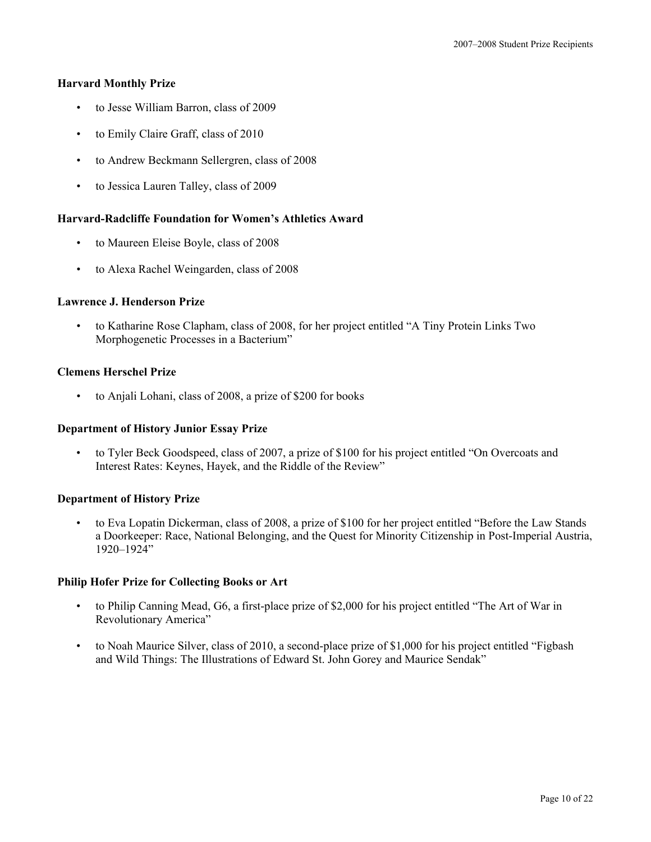## **Harvard Monthly Prize**

- to Jesse William Barron, class of 2009
- to Emily Claire Graff, class of 2010
- to Andrew Beckmann Sellergren, class of 2008
- to Jessica Lauren Talley, class of 2009

## **Harvard-Radcliffe Foundation for Women's Athletics Award**

- to Maureen Eleise Boyle, class of 2008
- to Alexa Rachel Weingarden, class of 2008

## **Lawrence J. Henderson Prize**

• to Katharine Rose Clapham, class of 2008, for her project entitled "A Tiny Protein Links Two Morphogenetic Processes in a Bacterium"

## **Clemens Herschel Prize**

• to Anjali Lohani, class of 2008, a prize of \$200 for books

#### **Department of History Junior Essay Prize**

• to Tyler Beck Goodspeed, class of 2007, a prize of \$100 for his project entitled "On Overcoats and Interest Rates: Keynes, Hayek, and the Riddle of the Review"

#### **Department of History Prize**

• to Eva Lopatin Dickerman, class of 2008, a prize of \$100 for her project entitled "Before the Law Stands a Doorkeeper: Race, National Belonging, and the Quest for Minority Citizenship in Post-Imperial Austria, 1920–1924"

#### **Philip Hofer Prize for Collecting Books or Art**

- to Philip Canning Mead, G6, a first-place prize of \$2,000 for his project entitled "The Art of War in Revolutionary America"
- to Noah Maurice Silver, class of 2010, a second-place prize of \$1,000 for his project entitled "Figbash and Wild Things: The Illustrations of Edward St. John Gorey and Maurice Sendak"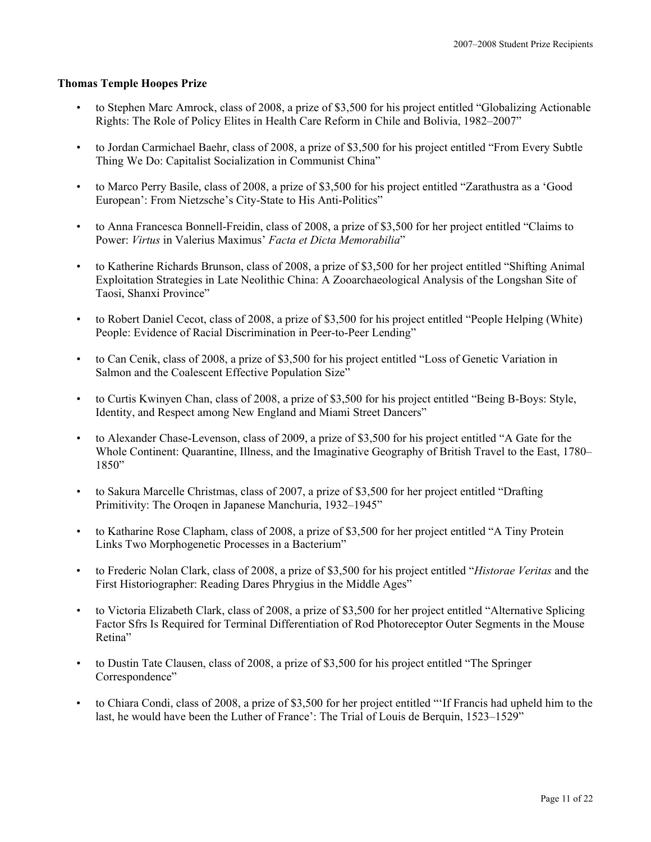## **Thomas Temple Hoopes Prize**

- to Stephen Marc Amrock, class of 2008, a prize of \$3,500 for his project entitled "Globalizing Actionable Rights: The Role of Policy Elites in Health Care Reform in Chile and Bolivia, 1982–2007"
- to Jordan Carmichael Baehr, class of 2008, a prize of \$3,500 for his project entitled "From Every Subtle Thing We Do: Capitalist Socialization in Communist China"
- to Marco Perry Basile, class of 2008, a prize of \$3,500 for his project entitled "Zarathustra as a 'Good European': From Nietzsche's City-State to His Anti-Politics"
- to Anna Francesca Bonnell-Freidin, class of 2008, a prize of \$3,500 for her project entitled "Claims to Power: *Virtus* in Valerius Maximus' *Facta et Dicta Memorabilia*"
- to Katherine Richards Brunson, class of 2008, a prize of \$3,500 for her project entitled "Shifting Animal Exploitation Strategies in Late Neolithic China: A Zooarchaeological Analysis of the Longshan Site of Taosi, Shanxi Province"
- to Robert Daniel Cecot, class of 2008, a prize of \$3,500 for his project entitled "People Helping (White) People: Evidence of Racial Discrimination in Peer-to-Peer Lending"
- to Can Cenik, class of 2008, a prize of \$3,500 for his project entitled "Loss of Genetic Variation in Salmon and the Coalescent Effective Population Size"
- to Curtis Kwinyen Chan, class of 2008, a prize of \$3,500 for his project entitled "Being B-Boys: Style, Identity, and Respect among New England and Miami Street Dancers"
- to Alexander Chase-Levenson, class of 2009, a prize of \$3,500 for his project entitled "A Gate for the Whole Continent: Quarantine, Illness, and the Imaginative Geography of British Travel to the East, 1780–  $1850"$
- to Sakura Marcelle Christmas, class of 2007, a prize of \$3,500 for her project entitled "Drafting Primitivity: The Oroqen in Japanese Manchuria, 1932–1945"
- to Katharine Rose Clapham, class of 2008, a prize of \$3,500 for her project entitled "A Tiny Protein Links Two Morphogenetic Processes in a Bacterium"
- to Frederic Nolan Clark, class of 2008, a prize of \$3,500 for his project entitled "*Historae Veritas* and the First Historiographer: Reading Dares Phrygius in the Middle Ages"
- to Victoria Elizabeth Clark, class of 2008, a prize of \$3,500 for her project entitled "Alternative Splicing Factor Sfrs Is Required for Terminal Differentiation of Rod Photoreceptor Outer Segments in the Mouse Retina"
- to Dustin Tate Clausen, class of 2008, a prize of \$3,500 for his project entitled "The Springer Correspondence"
- to Chiara Condi, class of 2008, a prize of \$3,500 for her project entitled "'If Francis had upheld him to the last, he would have been the Luther of France': The Trial of Louis de Berquin, 1523–1529"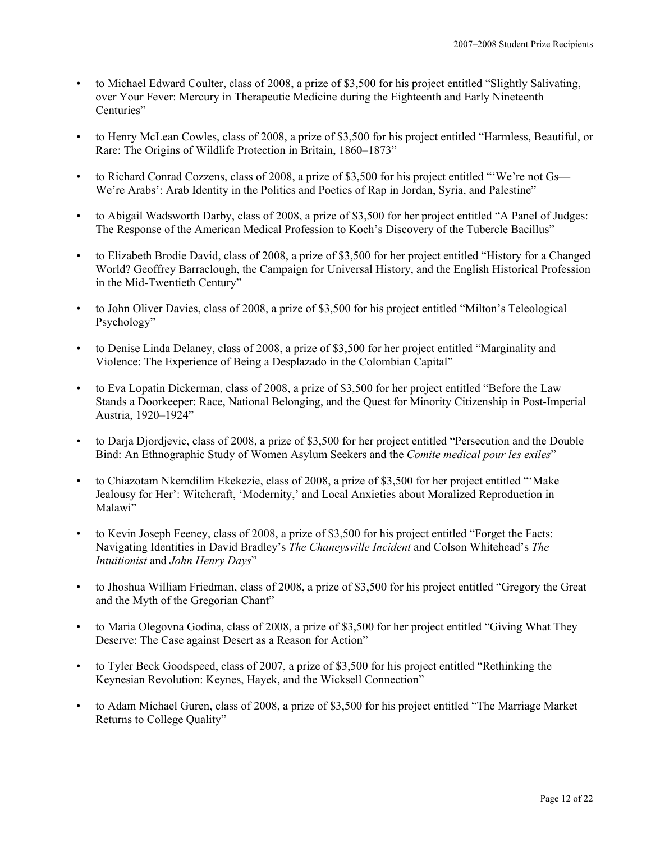- to Michael Edward Coulter, class of 2008, a prize of \$3,500 for his project entitled "Slightly Salivating, over Your Fever: Mercury in Therapeutic Medicine during the Eighteenth and Early Nineteenth Centuries"
- to Henry McLean Cowles, class of 2008, a prize of \$3,500 for his project entitled "Harmless, Beautiful, or Rare: The Origins of Wildlife Protection in Britain, 1860–1873"
- to Richard Conrad Cozzens, class of 2008, a prize of \$3,500 for his project entitled "'We're not Gs— We're Arabs': Arab Identity in the Politics and Poetics of Rap in Jordan, Syria, and Palestine"
- to Abigail Wadsworth Darby, class of 2008, a prize of \$3,500 for her project entitled "A Panel of Judges: The Response of the American Medical Profession to Koch's Discovery of the Tubercle Bacillus"
- to Elizabeth Brodie David, class of 2008, a prize of \$3,500 for her project entitled "History for a Changed World? Geoffrey Barraclough, the Campaign for Universal History, and the English Historical Profession in the Mid-Twentieth Century"
- to John Oliver Davies, class of 2008, a prize of \$3,500 for his project entitled "Milton's Teleological Psychology"
- to Denise Linda Delaney, class of 2008, a prize of \$3,500 for her project entitled "Marginality and Violence: The Experience of Being a Desplazado in the Colombian Capital"
- to Eva Lopatin Dickerman, class of 2008, a prize of \$3,500 for her project entitled "Before the Law Stands a Doorkeeper: Race, National Belonging, and the Quest for Minority Citizenship in Post-Imperial Austria, 1920–1924"
- to Darja Djordjevic, class of 2008, a prize of \$3,500 for her project entitled "Persecution and the Double Bind: An Ethnographic Study of Women Asylum Seekers and the *Comite medical pour les exiles*"
- to Chiazotam Nkemdilim Ekekezie, class of 2008, a prize of \$3,500 for her project entitled "'Make Jealousy for Her': Witchcraft, 'Modernity,' and Local Anxieties about Moralized Reproduction in Malawi"
- to Kevin Joseph Feeney, class of 2008, a prize of \$3,500 for his project entitled "Forget the Facts: Navigating Identities in David Bradley's *The Chaneysville Incident* and Colson Whitehead's *The Intuitionist* and *John Henry Days*"
- to Jhoshua William Friedman, class of 2008, a prize of \$3,500 for his project entitled "Gregory the Great and the Myth of the Gregorian Chant"
- to Maria Olegovna Godina, class of 2008, a prize of \$3,500 for her project entitled "Giving What They Deserve: The Case against Desert as a Reason for Action"
- to Tyler Beck Goodspeed, class of 2007, a prize of \$3,500 for his project entitled "Rethinking the Keynesian Revolution: Keynes, Hayek, and the Wicksell Connection"
- to Adam Michael Guren, class of 2008, a prize of \$3,500 for his project entitled "The Marriage Market Returns to College Quality"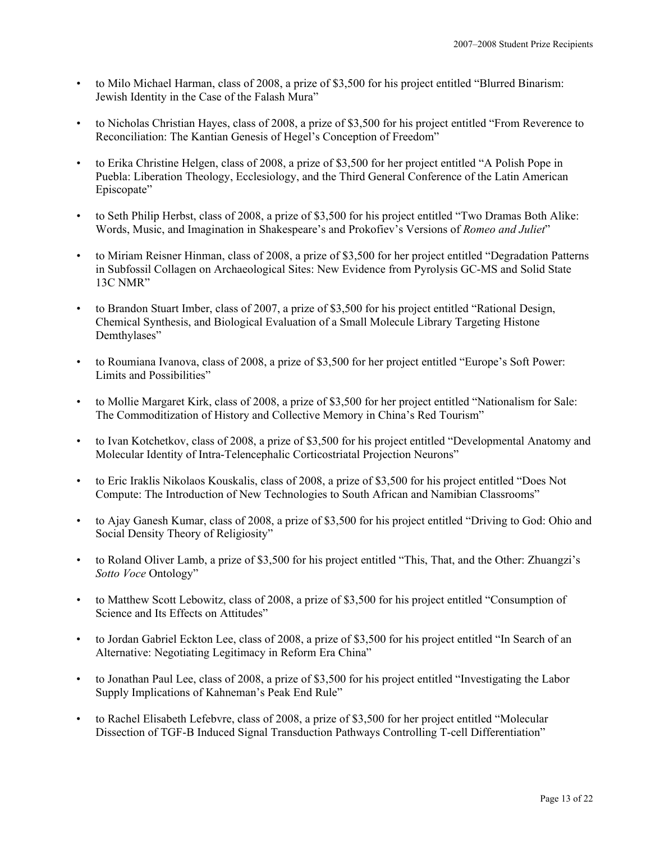- to Milo Michael Harman, class of 2008, a prize of \$3,500 for his project entitled "Blurred Binarism: Jewish Identity in the Case of the Falash Mura"
- to Nicholas Christian Hayes, class of 2008, a prize of \$3,500 for his project entitled "From Reverence to Reconciliation: The Kantian Genesis of Hegel's Conception of Freedom"
- to Erika Christine Helgen, class of 2008, a prize of \$3,500 for her project entitled "A Polish Pope in Puebla: Liberation Theology, Ecclesiology, and the Third General Conference of the Latin American Episcopate"
- to Seth Philip Herbst, class of 2008, a prize of \$3,500 for his project entitled "Two Dramas Both Alike: Words, Music, and Imagination in Shakespeare's and Prokofiev's Versions of *Romeo and Juliet*"
- to Miriam Reisner Hinman, class of 2008, a prize of \$3,500 for her project entitled "Degradation Patterns in Subfossil Collagen on Archaeological Sites: New Evidence from Pyrolysis GC-MS and Solid State 13C NMR"
- to Brandon Stuart Imber, class of 2007, a prize of \$3,500 for his project entitled "Rational Design, Chemical Synthesis, and Biological Evaluation of a Small Molecule Library Targeting Histone Demthylases"
- to Roumiana Ivanova, class of 2008, a prize of \$3,500 for her project entitled "Europe's Soft Power: Limits and Possibilities"
- to Mollie Margaret Kirk, class of 2008, a prize of \$3,500 for her project entitled "Nationalism for Sale: The Commoditization of History and Collective Memory in China's Red Tourism"
- to Ivan Kotchetkov, class of 2008, a prize of \$3,500 for his project entitled "Developmental Anatomy and Molecular Identity of Intra-Telencephalic Corticostriatal Projection Neurons"
- to Eric Iraklis Nikolaos Kouskalis, class of 2008, a prize of \$3,500 for his project entitled "Does Not Compute: The Introduction of New Technologies to South African and Namibian Classrooms"
- to Ajay Ganesh Kumar, class of 2008, a prize of \$3,500 for his project entitled "Driving to God: Ohio and Social Density Theory of Religiosity"
- to Roland Oliver Lamb, a prize of \$3,500 for his project entitled "This, That, and the Other: Zhuangzi's *Sotto Voce* Ontology"
- to Matthew Scott Lebowitz, class of 2008, a prize of \$3,500 for his project entitled "Consumption of Science and Its Effects on Attitudes"
- to Jordan Gabriel Eckton Lee, class of 2008, a prize of \$3,500 for his project entitled "In Search of an Alternative: Negotiating Legitimacy in Reform Era China"
- to Jonathan Paul Lee, class of 2008, a prize of \$3,500 for his project entitled "Investigating the Labor Supply Implications of Kahneman's Peak End Rule"
- to Rachel Elisabeth Lefebvre, class of 2008, a prize of \$3,500 for her project entitled "Molecular Dissection of TGF-B Induced Signal Transduction Pathways Controlling T-cell Differentiation"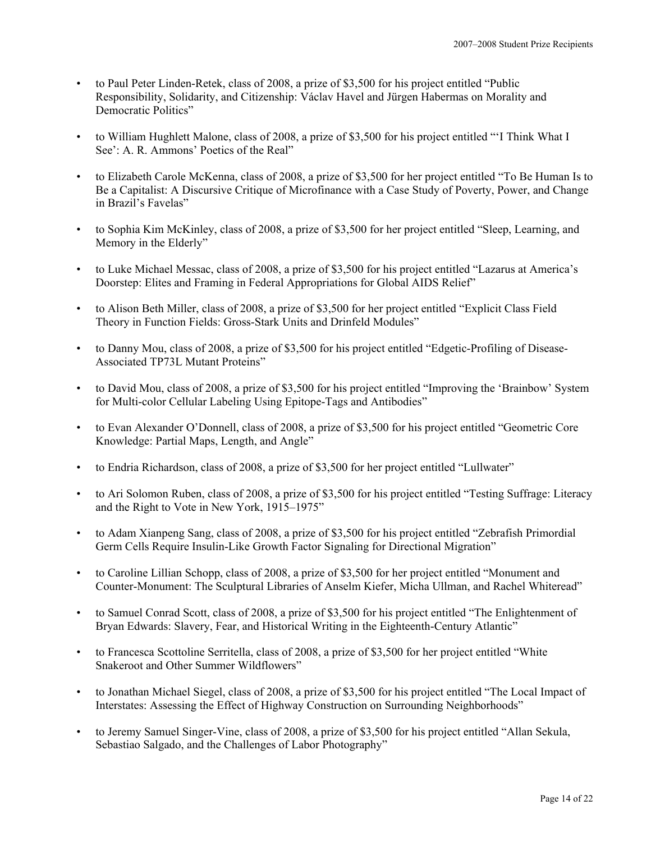- to Paul Peter Linden-Retek, class of 2008, a prize of \$3,500 for his project entitled "Public Responsibility, Solidarity, and Citizenship: Václav Havel and Jürgen Habermas on Morality and Democratic Politics"
- to William Hughlett Malone, class of 2008, a prize of \$3,500 for his project entitled "'I Think What I See': A. R. Ammons' Poetics of the Real"
- to Elizabeth Carole McKenna, class of 2008, a prize of \$3,500 for her project entitled "To Be Human Is to Be a Capitalist: A Discursive Critique of Microfinance with a Case Study of Poverty, Power, and Change in Brazil's Favelas"
- to Sophia Kim McKinley, class of 2008, a prize of \$3,500 for her project entitled "Sleep, Learning, and Memory in the Elderly"
- to Luke Michael Messac, class of 2008, a prize of \$3,500 for his project entitled "Lazarus at America's Doorstep: Elites and Framing in Federal Appropriations for Global AIDS Relief"
- to Alison Beth Miller, class of 2008, a prize of \$3,500 for her project entitled "Explicit Class Field Theory in Function Fields: Gross-Stark Units and Drinfeld Modules"
- to Danny Mou, class of 2008, a prize of \$3,500 for his project entitled "Edgetic-Profiling of Disease-Associated TP73L Mutant Proteins"
- to David Mou, class of 2008, a prize of \$3,500 for his project entitled "Improving the 'Brainbow' System for Multi-color Cellular Labeling Using Epitope-Tags and Antibodies"
- to Evan Alexander O'Donnell, class of 2008, a prize of \$3,500 for his project entitled "Geometric Core Knowledge: Partial Maps, Length, and Angle"
- to Endria Richardson, class of 2008, a prize of \$3,500 for her project entitled "Lullwater"
- to Ari Solomon Ruben, class of 2008, a prize of \$3,500 for his project entitled "Testing Suffrage: Literacy and the Right to Vote in New York, 1915–1975"
- to Adam Xianpeng Sang, class of 2008, a prize of \$3,500 for his project entitled "Zebrafish Primordial Germ Cells Require Insulin-Like Growth Factor Signaling for Directional Migration"
- to Caroline Lillian Schopp, class of 2008, a prize of \$3,500 for her project entitled "Monument and Counter-Monument: The Sculptural Libraries of Anselm Kiefer, Micha Ullman, and Rachel Whiteread"
- to Samuel Conrad Scott, class of 2008, a prize of \$3,500 for his project entitled "The Enlightenment of Bryan Edwards: Slavery, Fear, and Historical Writing in the Eighteenth-Century Atlantic"
- to Francesca Scottoline Serritella, class of 2008, a prize of \$3,500 for her project entitled "White Snakeroot and Other Summer Wildflowers"
- to Jonathan Michael Siegel, class of 2008, a prize of \$3,500 for his project entitled "The Local Impact of Interstates: Assessing the Effect of Highway Construction on Surrounding Neighborhoods"
- to Jeremy Samuel Singer-Vine, class of 2008, a prize of \$3,500 for his project entitled "Allan Sekula, Sebastiao Salgado, and the Challenges of Labor Photography"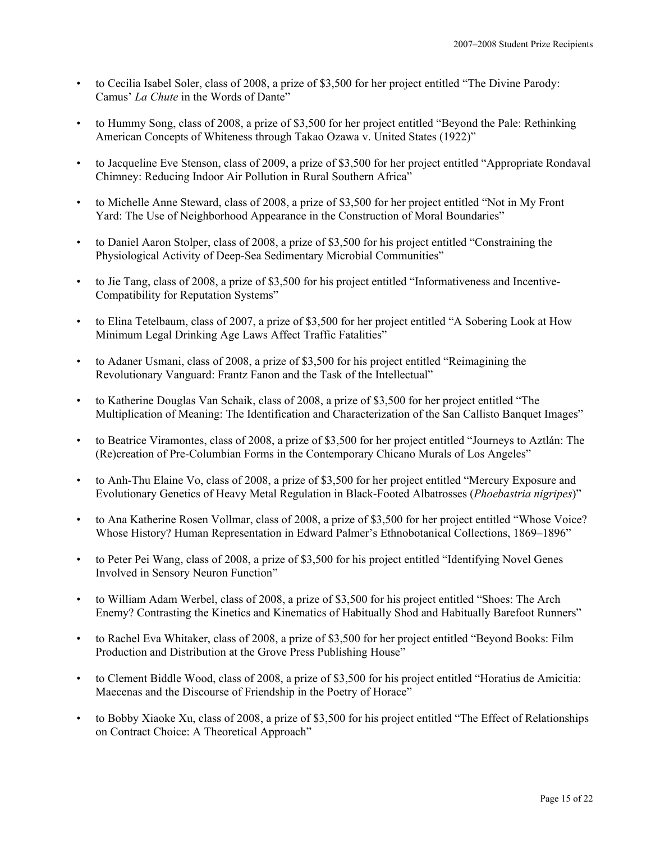- to Cecilia Isabel Soler, class of 2008, a prize of \$3,500 for her project entitled "The Divine Parody: Camus' *La Chute* in the Words of Dante"
- to Hummy Song, class of 2008, a prize of \$3,500 for her project entitled "Beyond the Pale: Rethinking American Concepts of Whiteness through Takao Ozawa v. United States (1922)"
- to Jacqueline Eve Stenson, class of 2009, a prize of \$3,500 for her project entitled "Appropriate Rondaval Chimney: Reducing Indoor Air Pollution in Rural Southern Africa"
- to Michelle Anne Steward, class of 2008, a prize of \$3,500 for her project entitled "Not in My Front Yard: The Use of Neighborhood Appearance in the Construction of Moral Boundaries"
- to Daniel Aaron Stolper, class of 2008, a prize of \$3,500 for his project entitled "Constraining the Physiological Activity of Deep-Sea Sedimentary Microbial Communities"
- to Jie Tang, class of 2008, a prize of \$3,500 for his project entitled "Informativeness and Incentive-Compatibility for Reputation Systems"
- to Elina Tetelbaum, class of 2007, a prize of \$3,500 for her project entitled "A Sobering Look at How Minimum Legal Drinking Age Laws Affect Traffic Fatalities"
- to Adaner Usmani, class of 2008, a prize of \$3,500 for his project entitled "Reimagining the Revolutionary Vanguard: Frantz Fanon and the Task of the Intellectual"
- to Katherine Douglas Van Schaik, class of 2008, a prize of \$3,500 for her project entitled "The Multiplication of Meaning: The Identification and Characterization of the San Callisto Banquet Images"
- to Beatrice Viramontes, class of 2008, a prize of \$3,500 for her project entitled "Journeys to Aztlán: The (Re)creation of Pre-Columbian Forms in the Contemporary Chicano Murals of Los Angeles"
- to Anh-Thu Elaine Vo, class of 2008, a prize of \$3,500 for her project entitled "Mercury Exposure and Evolutionary Genetics of Heavy Metal Regulation in Black-Footed Albatrosses (*Phoebastria nigripes*)"
- to Ana Katherine Rosen Vollmar, class of 2008, a prize of \$3,500 for her project entitled "Whose Voice? Whose History? Human Representation in Edward Palmer's Ethnobotanical Collections, 1869–1896"
- to Peter Pei Wang, class of 2008, a prize of \$3,500 for his project entitled "Identifying Novel Genes Involved in Sensory Neuron Function"
- to William Adam Werbel, class of 2008, a prize of \$3,500 for his project entitled "Shoes: The Arch Enemy? Contrasting the Kinetics and Kinematics of Habitually Shod and Habitually Barefoot Runners"
- to Rachel Eva Whitaker, class of 2008, a prize of \$3,500 for her project entitled "Beyond Books: Film Production and Distribution at the Grove Press Publishing House"
- to Clement Biddle Wood, class of 2008, a prize of \$3,500 for his project entitled "Horatius de Amicitia: Maecenas and the Discourse of Friendship in the Poetry of Horace"
- to Bobby Xiaoke Xu, class of 2008, a prize of \$3,500 for his project entitled "The Effect of Relationships on Contract Choice: A Theoretical Approach"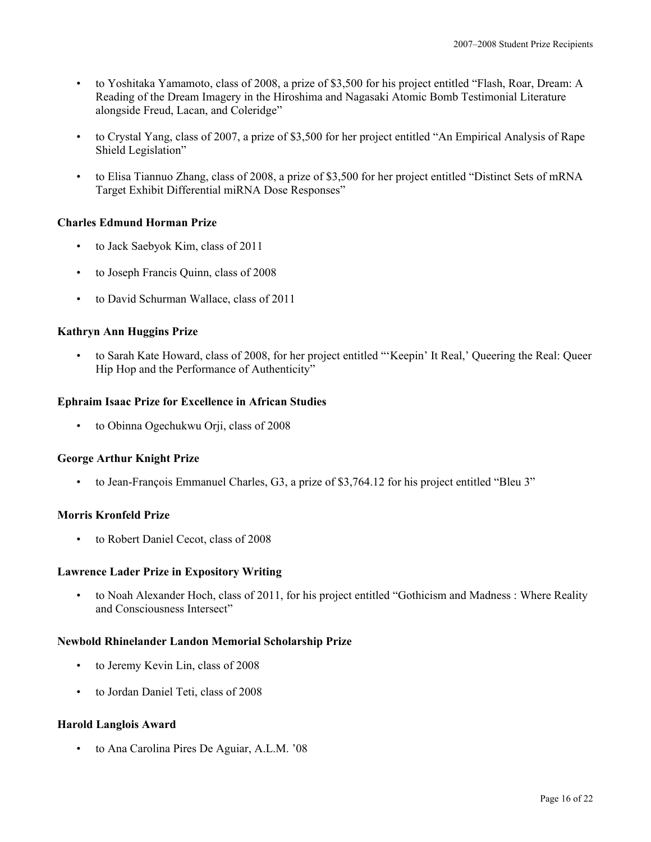- to Yoshitaka Yamamoto, class of 2008, a prize of \$3,500 for his project entitled "Flash, Roar, Dream: A Reading of the Dream Imagery in the Hiroshima and Nagasaki Atomic Bomb Testimonial Literature alongside Freud, Lacan, and Coleridge"
- to Crystal Yang, class of 2007, a prize of \$3,500 for her project entitled "An Empirical Analysis of Rape Shield Legislation"
- to Elisa Tiannuo Zhang, class of 2008, a prize of \$3,500 for her project entitled "Distinct Sets of mRNA Target Exhibit Differential miRNA Dose Responses"

# **Charles Edmund Horman Prize**

- to Jack Saebyok Kim, class of 2011
- to Joseph Francis Quinn, class of 2008
- to David Schurman Wallace, class of 2011

## **Kathryn Ann Huggins Prize**

• to Sarah Kate Howard, class of 2008, for her project entitled "'Keepin' It Real,' Queering the Real: Queer Hip Hop and the Performance of Authenticity"

## **Ephraim Isaac Prize for Excellence in African Studies**

• to Obinna Ogechukwu Orji, class of 2008

## **George Arthur Knight Prize**

• to Jean-François Emmanuel Charles, G3, a prize of \$3,764.12 for his project entitled "Bleu 3"

## **Morris Kronfeld Prize**

to Robert Daniel Cecot, class of 2008

#### **Lawrence Lader Prize in Expository Writing**

• to Noah Alexander Hoch, class of 2011, for his project entitled "Gothicism and Madness : Where Reality and Consciousness Intersect"

## **Newbold Rhinelander Landon Memorial Scholarship Prize**

- to Jeremy Kevin Lin, class of 2008
- to Jordan Daniel Teti, class of 2008

#### **Harold Langlois Award**

• to Ana Carolina Pires De Aguiar, A.L.M. '08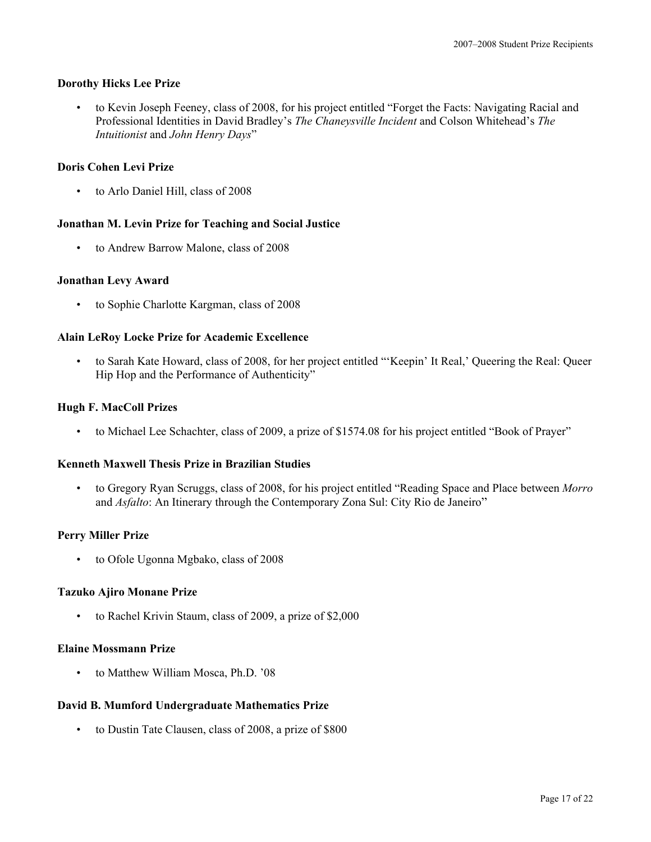## **Dorothy Hicks Lee Prize**

• to Kevin Joseph Feeney, class of 2008, for his project entitled "Forget the Facts: Navigating Racial and Professional Identities in David Bradley's *The Chaneysville Incident* and Colson Whitehead's *The Intuitionist* and *John Henry Days*"

## **Doris Cohen Levi Prize**

• to Arlo Daniel Hill, class of 2008

## **Jonathan M. Levin Prize for Teaching and Social Justice**

• to Andrew Barrow Malone, class of 2008

## **Jonathan Levy Award**

• to Sophie Charlotte Kargman, class of 2008

## **Alain LeRoy Locke Prize for Academic Excellence**

• to Sarah Kate Howard, class of 2008, for her project entitled "'Keepin' It Real,' Queering the Real: Queer Hip Hop and the Performance of Authenticity"

## **Hugh F. MacColl Prizes**

• to Michael Lee Schachter, class of 2009, a prize of \$1574.08 for his project entitled "Book of Prayer"

## **Kenneth Maxwell Thesis Prize in Brazilian Studies**

• to Gregory Ryan Scruggs, class of 2008, for his project entitled "Reading Space and Place between *Morro* and *Asfalto*: An Itinerary through the Contemporary Zona Sul: City Rio de Janeiro"

## **Perry Miller Prize**

• to Ofole Ugonna Mgbako, class of 2008

#### **Tazuko Ajiro Monane Prize**

• to Rachel Krivin Staum, class of 2009, a prize of \$2,000

#### **Elaine Mossmann Prize**

• to Matthew William Mosca, Ph.D. '08

## **David B. Mumford Undergraduate Mathematics Prize**

• to Dustin Tate Clausen, class of 2008, a prize of \$800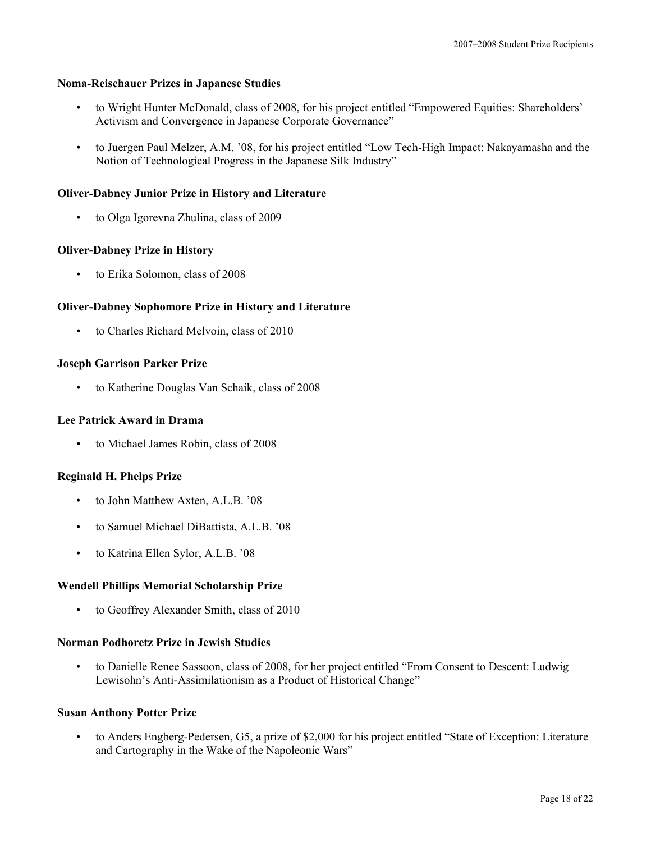#### **Noma-Reischauer Prizes in Japanese Studies**

- to Wright Hunter McDonald, class of 2008, for his project entitled "Empowered Equities: Shareholders' Activism and Convergence in Japanese Corporate Governance"
- to Juergen Paul Melzer, A.M. '08, for his project entitled "Low Tech-High Impact: Nakayamasha and the Notion of Technological Progress in the Japanese Silk Industry"

## **Oliver-Dabney Junior Prize in History and Literature**

• to Olga Igorevna Zhulina, class of 2009

## **Oliver-Dabney Prize in History**

• to Erika Solomon, class of 2008

## **Oliver-Dabney Sophomore Prize in History and Literature**

• to Charles Richard Melvoin, class of 2010

## **Joseph Garrison Parker Prize**

• to Katherine Douglas Van Schaik, class of 2008

#### **Lee Patrick Award in Drama**

• to Michael James Robin, class of 2008

## **Reginald H. Phelps Prize**

- to John Matthew Axten, A.L.B. '08
- to Samuel Michael DiBattista, A.L.B. '08
- to Katrina Ellen Sylor, A.L.B. '08

#### **Wendell Phillips Memorial Scholarship Prize**

• to Geoffrey Alexander Smith, class of 2010

#### **Norman Podhoretz Prize in Jewish Studies**

• to Danielle Renee Sassoon, class of 2008, for her project entitled "From Consent to Descent: Ludwig Lewisohn's Anti-Assimilationism as a Product of Historical Change"

#### **Susan Anthony Potter Prize**

• to Anders Engberg-Pedersen, G5, a prize of \$2,000 for his project entitled "State of Exception: Literature and Cartography in the Wake of the Napoleonic Wars"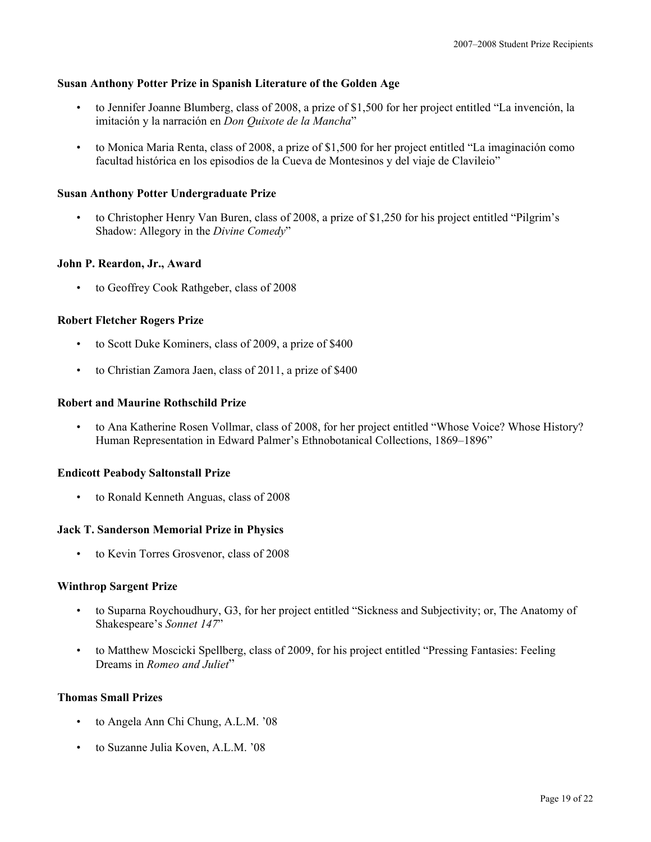## **Susan Anthony Potter Prize in Spanish Literature of the Golden Age**

- to Jennifer Joanne Blumberg, class of 2008, a prize of \$1,500 for her project entitled "La invención, la imitación y la narración en *Don Quixote de la Mancha*"
- to Monica Maria Renta, class of 2008, a prize of \$1,500 for her project entitled "La imaginación como facultad histórica en los episodios de la Cueva de Montesinos y del viaje de Clavileio"

## **Susan Anthony Potter Undergraduate Prize**

• to Christopher Henry Van Buren, class of 2008, a prize of \$1,250 for his project entitled "Pilgrim's Shadow: Allegory in the *Divine Comedy*"

## **John P. Reardon, Jr., Award**

• to Geoffrey Cook Rathgeber, class of 2008

## **Robert Fletcher Rogers Prize**

- to Scott Duke Kominers, class of 2009, a prize of \$400
- to Christian Zamora Jaen, class of 2011, a prize of \$400

#### **Robert and Maurine Rothschild Prize**

• to Ana Katherine Rosen Vollmar, class of 2008, for her project entitled "Whose Voice? Whose History? Human Representation in Edward Palmer's Ethnobotanical Collections, 1869–1896"

#### **Endicott Peabody Saltonstall Prize**

• to Ronald Kenneth Anguas, class of 2008

#### **Jack T. Sanderson Memorial Prize in Physics**

• to Kevin Torres Grosvenor, class of 2008

#### **Winthrop Sargent Prize**

- to Suparna Roychoudhury, G3, for her project entitled "Sickness and Subjectivity; or, The Anatomy of Shakespeare's *Sonnet 147*"
- to Matthew Moscicki Spellberg, class of 2009, for his project entitled "Pressing Fantasies: Feeling Dreams in *Romeo and Juliet*"

#### **Thomas Small Prizes**

- to Angela Ann Chi Chung, A.L.M. '08
- to Suzanne Julia Koven, A.L.M. '08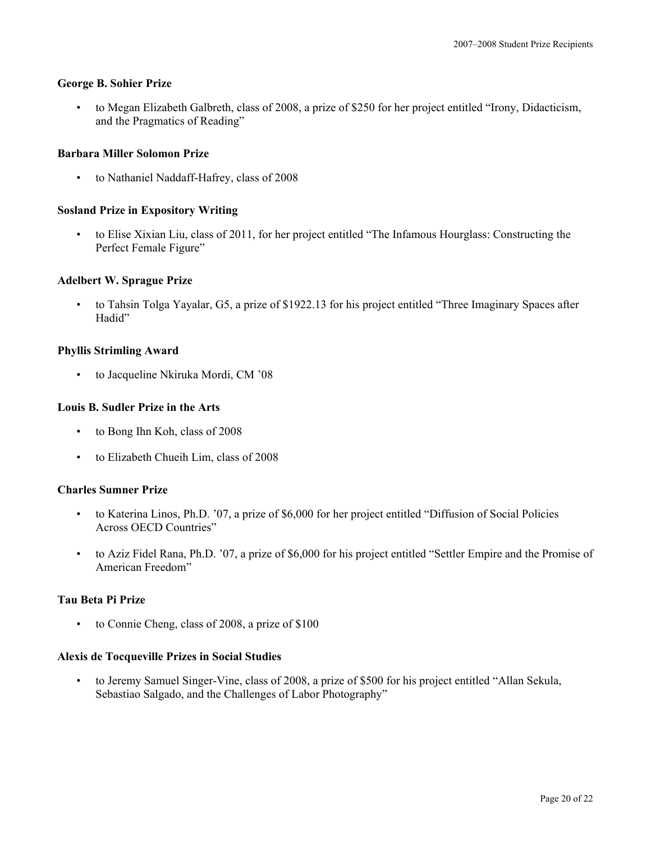## **George B. Sohier Prize**

• to Megan Elizabeth Galbreth, class of 2008, a prize of \$250 for her project entitled "Irony, Didacticism, and the Pragmatics of Reading"

## **Barbara Miller Solomon Prize**

• to Nathaniel Naddaff-Hafrey, class of 2008

## **Sosland Prize in Expository Writing**

• to Elise Xixian Liu, class of 2011, for her project entitled "The Infamous Hourglass: Constructing the Perfect Female Figure"

## **Adelbert W. Sprague Prize**

• to Tahsin Tolga Yayalar, G5, a prize of \$1922.13 for his project entitled "Three Imaginary Spaces after Hadid"

## **Phyllis Strimling Award**

• to Jacqueline Nkiruka Mordi, CM '08

## **Louis B. Sudler Prize in the Arts**

- to Bong Ihn Koh, class of 2008
- to Elizabeth Chueih Lim, class of 2008

#### **Charles Sumner Prize**

- to Katerina Linos, Ph.D. '07, a prize of \$6,000 for her project entitled "Diffusion of Social Policies Across OECD Countries"
- to Aziz Fidel Rana, Ph.D. '07, a prize of \$6,000 for his project entitled "Settler Empire and the Promise of American Freedom"

## **Tau Beta Pi Prize**

• to Connie Cheng, class of 2008, a prize of \$100

#### **Alexis de Tocqueville Prizes in Social Studies**

• to Jeremy Samuel Singer-Vine, class of 2008, a prize of \$500 for his project entitled "Allan Sekula, Sebastiao Salgado, and the Challenges of Labor Photography"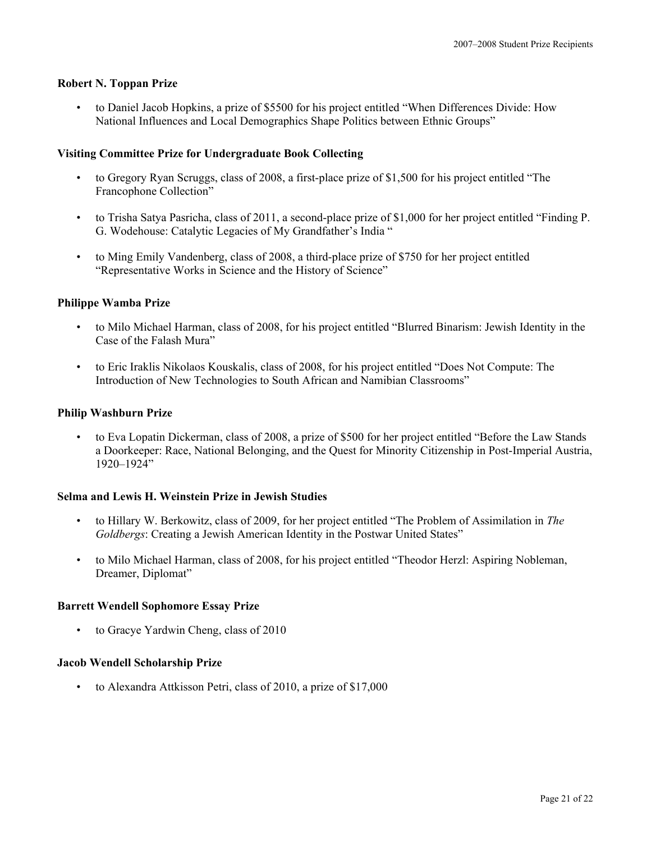## **Robert N. Toppan Prize**

• to Daniel Jacob Hopkins, a prize of \$5500 for his project entitled "When Differences Divide: How National Influences and Local Demographics Shape Politics between Ethnic Groups"

## **Visiting Committee Prize for Undergraduate Book Collecting**

- to Gregory Ryan Scruggs, class of 2008, a first-place prize of \$1,500 for his project entitled "The Francophone Collection"
- to Trisha Satya Pasricha, class of 2011, a second-place prize of \$1,000 for her project entitled "Finding P. G. Wodehouse: Catalytic Legacies of My Grandfather's India "
- to Ming Emily Vandenberg, class of 2008, a third-place prize of \$750 for her project entitled "Representative Works in Science and the History of Science"

## **Philippe Wamba Prize**

- to Milo Michael Harman, class of 2008, for his project entitled "Blurred Binarism: Jewish Identity in the Case of the Falash Mura"
- to Eric Iraklis Nikolaos Kouskalis, class of 2008, for his project entitled "Does Not Compute: The Introduction of New Technologies to South African and Namibian Classrooms"

## **Philip Washburn Prize**

• to Eva Lopatin Dickerman, class of 2008, a prize of \$500 for her project entitled "Before the Law Stands a Doorkeeper: Race, National Belonging, and the Quest for Minority Citizenship in Post-Imperial Austria, 1920–1924"

## **Selma and Lewis H. Weinstein Prize in Jewish Studies**

- to Hillary W. Berkowitz, class of 2009, for her project entitled "The Problem of Assimilation in *The Goldbergs*: Creating a Jewish American Identity in the Postwar United States"
- to Milo Michael Harman, class of 2008, for his project entitled "Theodor Herzl: Aspiring Nobleman, Dreamer, Diplomat"

#### **Barrett Wendell Sophomore Essay Prize**

• to Gracye Yardwin Cheng, class of 2010

#### **Jacob Wendell Scholarship Prize**

• to Alexandra Attkisson Petri, class of 2010, a prize of \$17,000